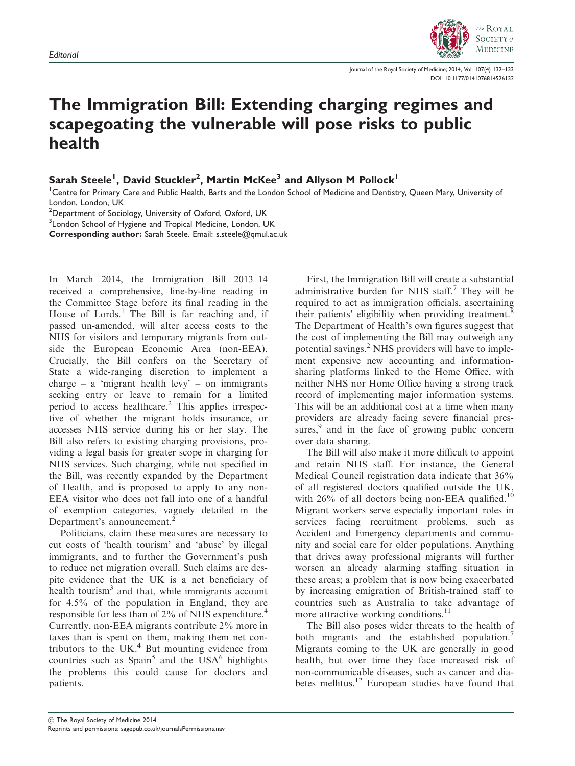

Journal of the Royal Society of Medicine; 2014, Vol. 107(4) 132–133 DOI: 10.1177/0141076814526132

## The Immigration Bill: Extending charging regimes and scapegoating the vulnerable will pose risks to public health

Sarah Steele<sup>1</sup>, David Stuckler<sup>2</sup>, Martin McKee<sup>3</sup> and Allyson M Pollock<sup>1</sup>

<sup>1</sup>Centre for Primary Care and Public Health, Barts and the London School of Medicine and Dentistry, Queen Mary, University of London, London, UK

 $^{2}$ Department of Sociology, University of Oxford, Oxford, UK

<sup>3</sup> London School of Hygiene and Tropical Medicine, London, UK

Corresponding author: Sarah Steele. Email: s.steele@qmul.ac.uk

In March 2014, the Immigration Bill 2013–14 received a comprehensive, line-by-line reading in the Committee Stage before its final reading in the House of Lords.<sup>1</sup> The Bill is far reaching and, if passed un-amended, will alter access costs to the NHS for visitors and temporary migrants from outside the European Economic Area (non-EEA). Crucially, the Bill confers on the Secretary of State a wide-ranging discretion to implement a charge – a 'migrant health levy' – on immigrants seeking entry or leave to remain for a limited period to access healthcare.<sup>2</sup> This applies irrespective of whether the migrant holds insurance, or accesses NHS service during his or her stay. The Bill also refers to existing charging provisions, providing a legal basis for greater scope in charging for NHS services. Such charging, while not specified in the Bill, was recently expanded by the Department of Health, and is proposed to apply to any non-EEA visitor who does not fall into one of a handful of exemption categories, vaguely detailed in the Department's announcement.<sup>2</sup>

Politicians, claim these measures are necessary to cut costs of 'health tourism' and 'abuse' by illegal immigrants, and to further the Government's push to reduce net migration overall. Such claims are despite evidence that the UK is a net beneficiary of health tourism<sup>3</sup> and that, while immigrants account for 4.5% of the population in England, they are responsible for less than of 2% of NHS expenditure.<sup>4</sup> Currently, non-EEA migrants contribute 2% more in taxes than is spent on them, making them net contributors to the UK $<sup>4</sup>$  But mounting evidence from</sup> countries such as  $Spin<sup>5</sup>$  and the USA<sup>6</sup> highlights the problems this could cause for doctors and patients.

First, the Immigration Bill will create a substantial administrative burden for NHS staff.<sup>7</sup> They will be required to act as immigration officials, ascertaining their patients' eligibility when providing treatment.<sup>8</sup> The Department of Health's own figures suggest that the cost of implementing the Bill may outweigh any potential savings.<sup>2</sup> NHS providers will have to implement expensive new accounting and informationsharing platforms linked to the Home Office, with neither NHS nor Home Office having a strong track record of implementing major information systems. This will be an additional cost at a time when many providers are already facing severe financial pressures, $9$  and in the face of growing public concern over data sharing.

The Bill will also make it more difficult to appoint and retain NHS staff. For instance, the General Medical Council registration data indicate that 36% of all registered doctors qualified outside the UK, with  $26\%$  of all doctors being non-EEA qualified.<sup>10</sup> Migrant workers serve especially important roles in services facing recruitment problems, such as Accident and Emergency departments and community and social care for older populations. Anything that drives away professional migrants will further worsen an already alarming staffing situation in these areas; a problem that is now being exacerbated by increasing emigration of British-trained staff to countries such as Australia to take advantage of more attractive working conditions.<sup>11</sup>

The Bill also poses wider threats to the health of both migrants and the established population. Migrants coming to the UK are generally in good health, but over time they face increased risk of non-communicable diseases, such as cancer and diabetes mellitus.<sup>12</sup> European studies have found that